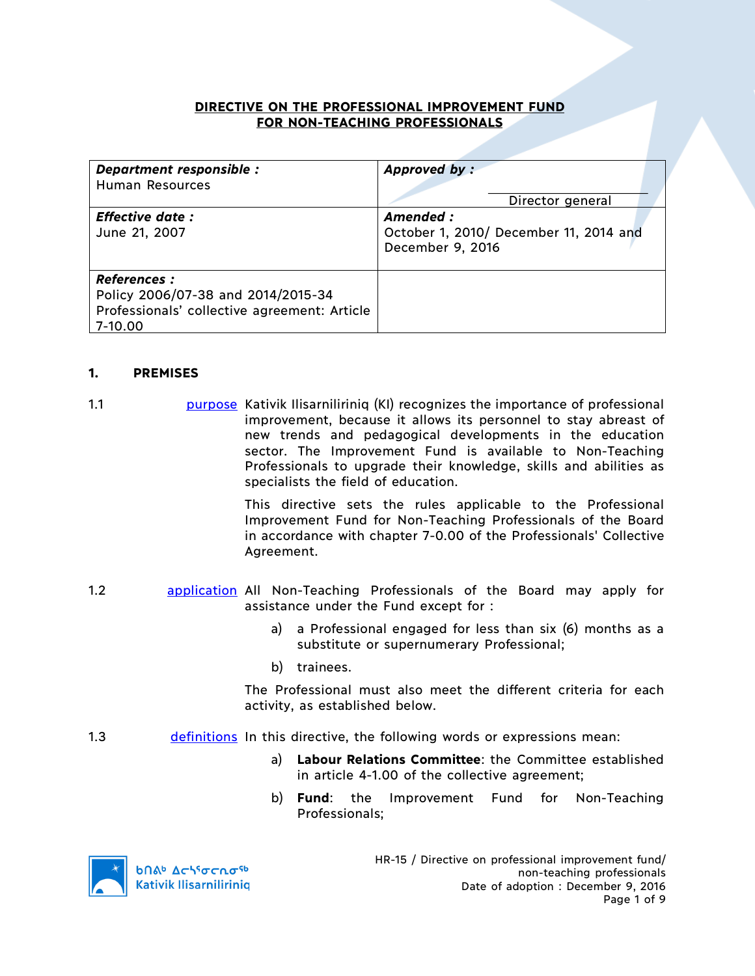## **DIRECTIVE ON THE PROFESSIONAL IMPROVEMENT FUND FOR NON-TEACHING PROFESSIONALS**

| Department responsible :<br><b>Human Resources</b>                                                                  | Approved by:<br>Director general                                        |
|---------------------------------------------------------------------------------------------------------------------|-------------------------------------------------------------------------|
| <b>Effective date:</b><br>June 21, 2007                                                                             | Amended :<br>October 1, 2010/ December 11, 2014 and<br>December 9, 2016 |
| <b>References:</b><br>Policy 2006/07-38 and 2014/2015-34<br>Professionals' collective agreement: Article<br>7-10.00 |                                                                         |

### **1. PREMISES**

1.1 **purpose Kativik Ilisarniliriniq (KI) recognizes the importance of professional** improvement, because it allows its personnel to stay abreast of new trends and pedagogical developments in the education sector. The Improvement Fund is available to Non-Teaching Professionals to upgrade their knowledge, skills and abilities as specialists the field of education.

> This directive sets the rules applicable to the Professional Improvement Fund for Non-Teaching Professionals of the Board in accordance with chapter 7-0.00 of the Professionals' Collective Agreement.

- 1.2 application All Non-Teaching Professionals of the Board may apply for assistance under the Fund except for :
	- a) a Professional engaged for less than six (6) months as a substitute or supernumerary Professional;
	- b) trainees.

The Professional must also meet the different criteria for each activity, as established below.

- 1.3 definitions In this directive, the following words or expressions mean:
	- a) **Labour Relations Committee**: the Committee established in article 4-1.00 of the collective agreement;
	- b) **Fund**: the Improvement Fund for Non-Teaching Professionals;

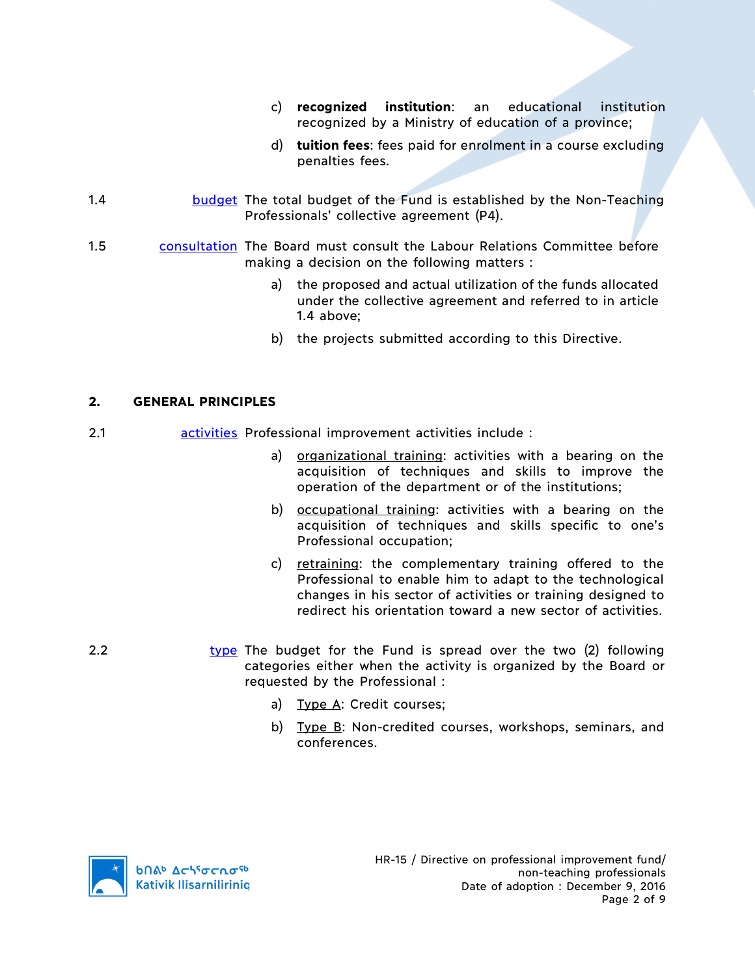- c) **recognized institution**: an educational institution recognized by a Ministry of education of a province;
- d) **tuition fees**: fees paid for enrolment in a course excluding penalties fees.
- 1.4 budget The total budget of the Fund is established by the Non-Teaching Professionals' collective agreement (P4).
- 1.5 consultation The Board must consult the Labour Relations Committee before making a decision on the following matters :
	- a) the proposed and actual utilization of the funds allocated under the collective agreement and referred to in article 1.4 above;
	- b) the projects submitted according to this Directive.

### **2. GENERAL PRINCIPLES**

- 2.1 activities Professional improvement activities include :
	- a) organizational training: activities with a bearing on the acquisition of techniques and skills to improve the operation of the department or of the institutions;
	- b) occupational training: activities with a bearing on the acquisition of techniques and skills specific to one's Professional occupation;
	- c) retraining: the complementary training offered to the Professional to enable him to adapt to the technological changes in his sector of activities or training designed to redirect his orientation toward a new sector of activities.
- 2.2 type The budget for the Fund is spread over the two (2) following categories either when the activity is organized by the Board or requested by the Professional :
	- a) Type A: Credit courses;
	- b) Type B: Non-credited courses, workshops, seminars, and conferences.

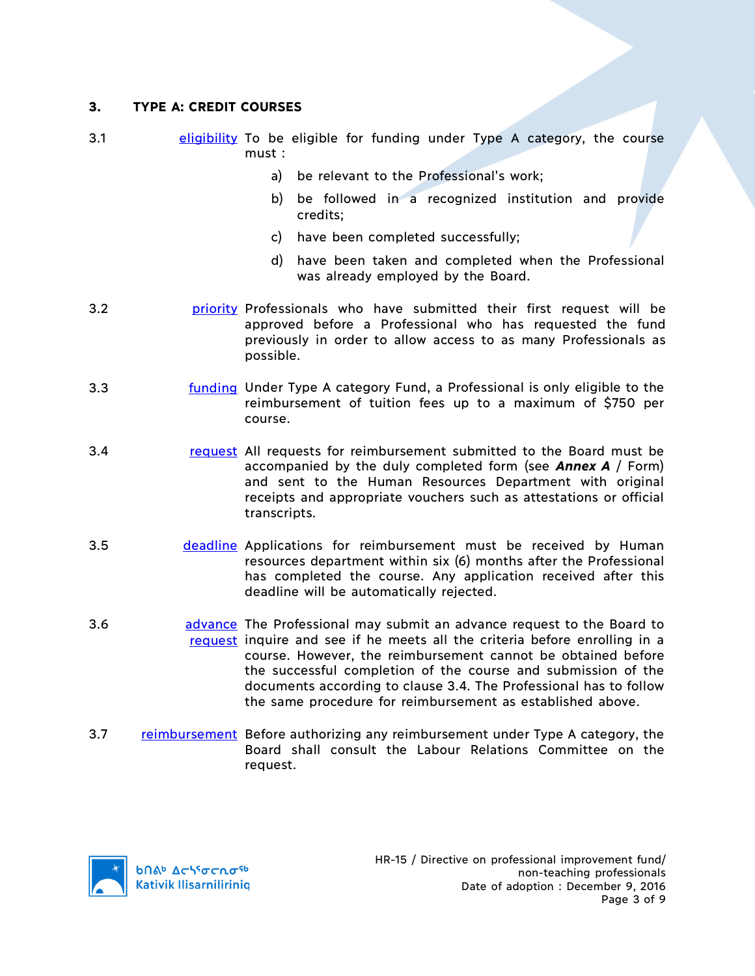## **3. TYPE A: CREDIT COURSES**

- 3.1 eligibility To be eligible for funding under Type A category, the course must :
	- a) be relevant to the Professional's work;
	- b) be followed in a recognized institution and provide credits;
	- c) have been completed successfully;
	- d) have been taken and completed when the Professional was already employed by the Board.
- 3.2 priority Professionals who have submitted their first request will be approved before a Professional who has requested the fund previously in order to allow access to as many Professionals as possible.
- 3.3 funding Under Type A category Fund, a Professional is only eligible to the reimbursement of tuition fees up to a maximum of \$750 per course.
- 3.4 request All requests for reimbursement submitted to the Board must be accompanied by the duly completed form (see *Annex A* / Form) and sent to the Human Resources Department with original receipts and appropriate vouchers such as attestations or official transcripts.
- 3.5 deadline Applications for reimbursement must be received by Human resources department within six (6) months after the Professional has completed the course. Any application received after this deadline will be automatically rejected.
- 3.6 **advance** The Professional may submit an advance request to the Board to request inquire and see if he meets all the criteria before enrolling in a course. However, the reimbursement cannot be obtained before the successful completion of the course and submission of the documents according to clause 3.4. The Professional has to follow the same procedure for reimbursement as established above.
- 3.7 reimbursement Before authorizing any reimbursement under Type A category, the Board shall consult the Labour Relations Committee on the request.

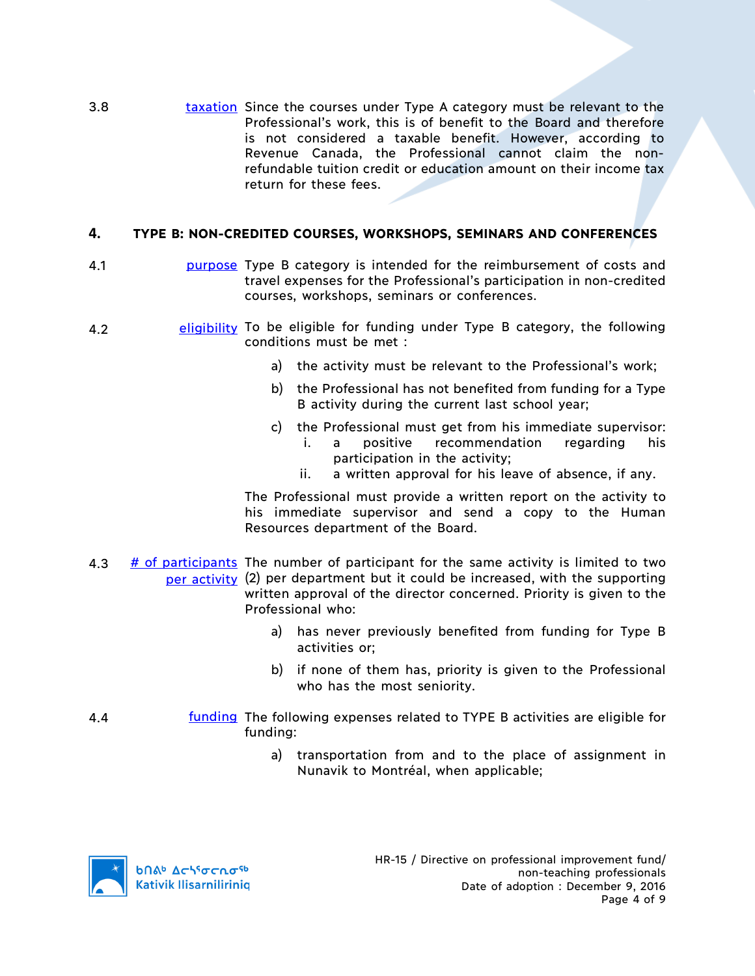3.8 **taxation** Since the courses under Type A category must be relevant to the Professional's work, this is of benefit to the Board and therefore is not considered a taxable benefit. However, according to Revenue Canada, the Professional cannot claim the nonrefundable tuition credit or education amount on their income tax return for these fees.

# **4. TYPE B: NON-CREDITED COURSES, WORKSHOPS, SEMINARS AND CONFERENCES**

- 4.1 **purpose** Type B category is intended for the reimbursement of costs and travel expenses for the Professional's participation in non-credited courses, workshops, seminars or conferences.
- 4.2 eligibility To be eligible for funding under Type B category, the following conditions must be met :
	- a) the activity must be relevant to the Professional's work;
	- b) the Professional has not benefited from funding for a Type B activity during the current last school year;
	- c) the Professional must get from his immediate supervisor: i. a positive recommendation regarding his
		- participation in the activity;
		- ii. a written approval for his leave of absence, if any.

The Professional must provide a written report on the activity to his immediate supervisor and send a copy to the Human Resources department of the Board.

- 4.3  $\#$  of participants The number of participant for the same activity is limited to two per activity (2) per department but it could be increased, with the supporting written approval of the director concerned. Priority is given to the Professional who:
	- a) has never previously benefited from funding for Type B activities or;
	- b) if none of them has, priority is given to the Professional who has the most seniority.
- 4.4 **funding** The following expenses related to TYPE B activities are eligible for funding:
	- a) transportation from and to the place of assignment in Nunavik to Montréal, when applicable;

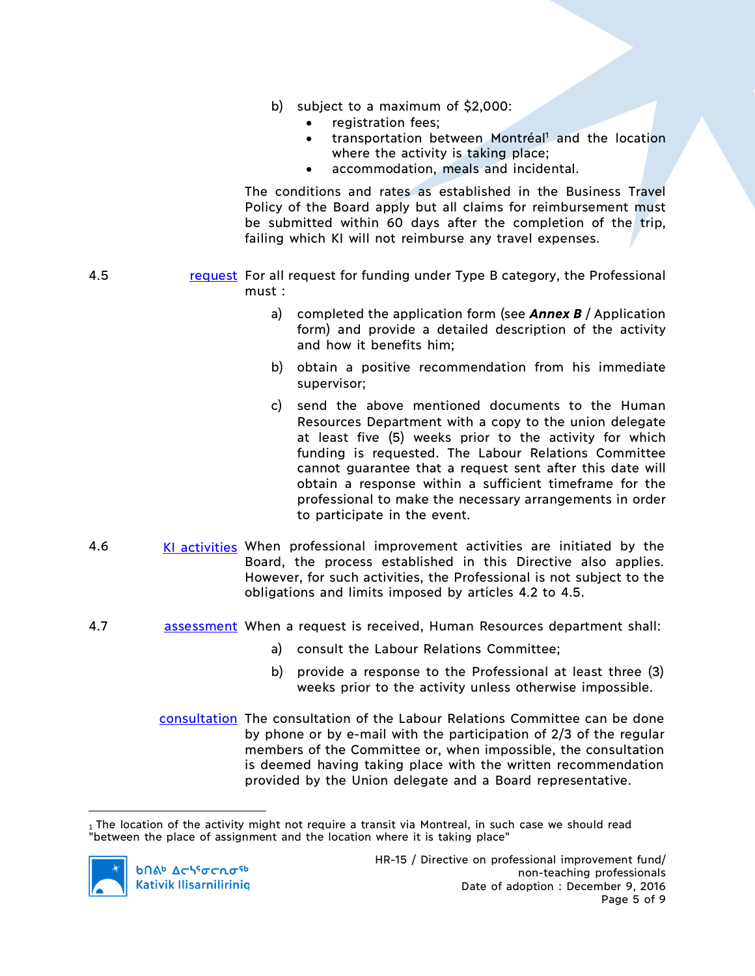- b) subject to a maximum of \$2,000:
	- registration fees;
	- transportation between Montréal<sup>1</sup> and the location where the activity is taking place;
	- accommodation, meals and incidental.

The conditions and rates as established in the Business Travel Policy of the Board apply but all claims for reimbursement must be submitted within 60 days after the completion of the trip, failing which KI will not reimburse any travel expenses.

- 4.5 request For all request for funding under Type B category, the Professional must :
	- a) completed the application form (see *Annex B* / Application form) and provide a detailed description of the activity and how it benefits him;
	- b) obtain a positive recommendation from his immediate supervisor;
	- c) send the above mentioned documents to the Human Resources Department with a copy to the union delegate at least five (5) weeks prior to the activity for which funding is requested. The Labour Relations Committee cannot guarantee that a request sent after this date will obtain a response within a sufficient timeframe for the professional to make the necessary arrangements in order to participate in the event.
- 4.6 KI activities When professional improvement activities are initiated by the Board, the process established in this Directive also applies. However, for such activities, the Professional is not subject to the obligations and limits imposed by articles 4.2 to 4.5.
- 4.7 assessment When a request is received, Human Resources department shall:
	- a) consult the Labour Relations Committee;
	- b) provide a response to the Professional at least three (3) weeks prior to the activity unless otherwise impossible.
	- consultation The consultation of the Labour Relations Committee can be done by phone or by e-mail with the participation of 2/3 of the regular members of the Committee or, when impossible, the consultation is deemed having taking place with the written recommendation provided by the Union delegate and a Board representative.

 $\overline{a}$ 1 The location of the activity might not require a transit via Montreal, in such case we should read "between the place of assignment and the location where it is taking place"

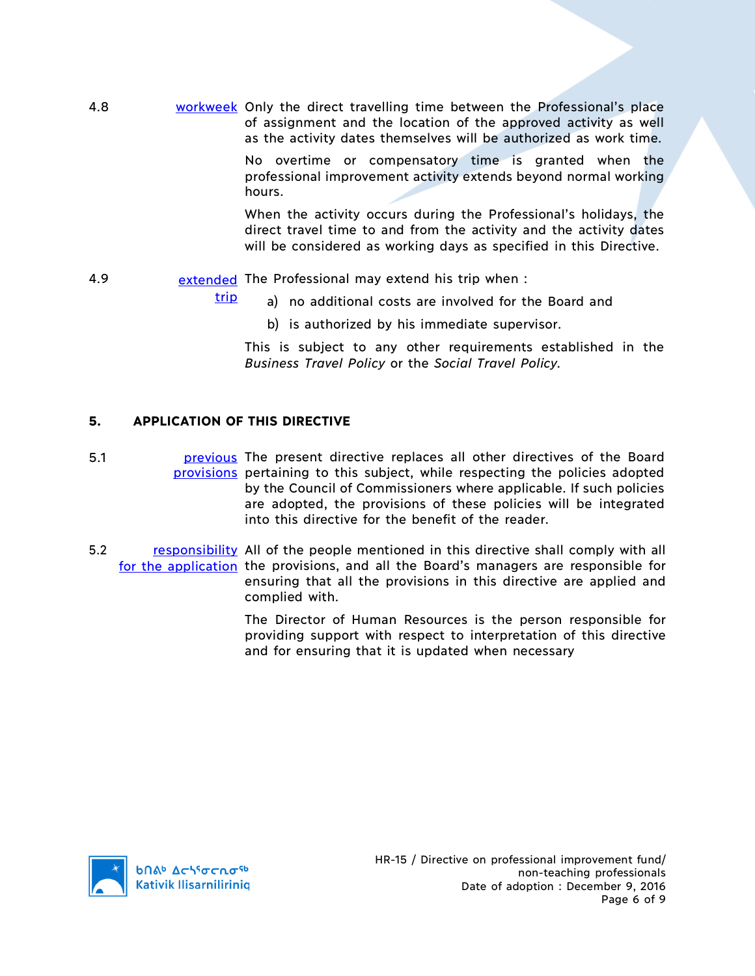4.8 workweek Only the direct travelling time between the Professional's place of assignment and the location of the approved activity as well as the activity dates themselves will be authorized as work time.

> No overtime or compensatory time is granted when the professional improvement activity extends beyond normal working hours.

> When the activity occurs during the Professional's holidays, the direct travel time to and from the activity and the activity dates will be considered as working days as specified in this Directive.

- 4.9 **extended** The Professional may extend his trip when :
	- a) no additional costs are involved for the Board and
		- b) is authorized by his immediate supervisor.

This is subject to any other requirements established in the *Business Travel Policy* or the *Social Travel Policy.*

# **5. APPLICATION OF THIS DIRECTIVE**

trip

5.1 **previous** The present directive replaces all other directives of the Board provisions pertaining to this subject, while respecting the policies adopted by the Council of Commissioners where applicable. If such policies are adopted, the provisions of these policies will be integrated into this directive for the benefit of the reader.

5.2 responsibility All of the people mentioned in this directive shall comply with all for the application the provisions, and all the Board's managers are responsible for ensuring that all the provisions in this directive are applied and complied with.

> The Director of Human Resources is the person responsible for providing support with respect to interpretation of this directive and for ensuring that it is updated when necessary

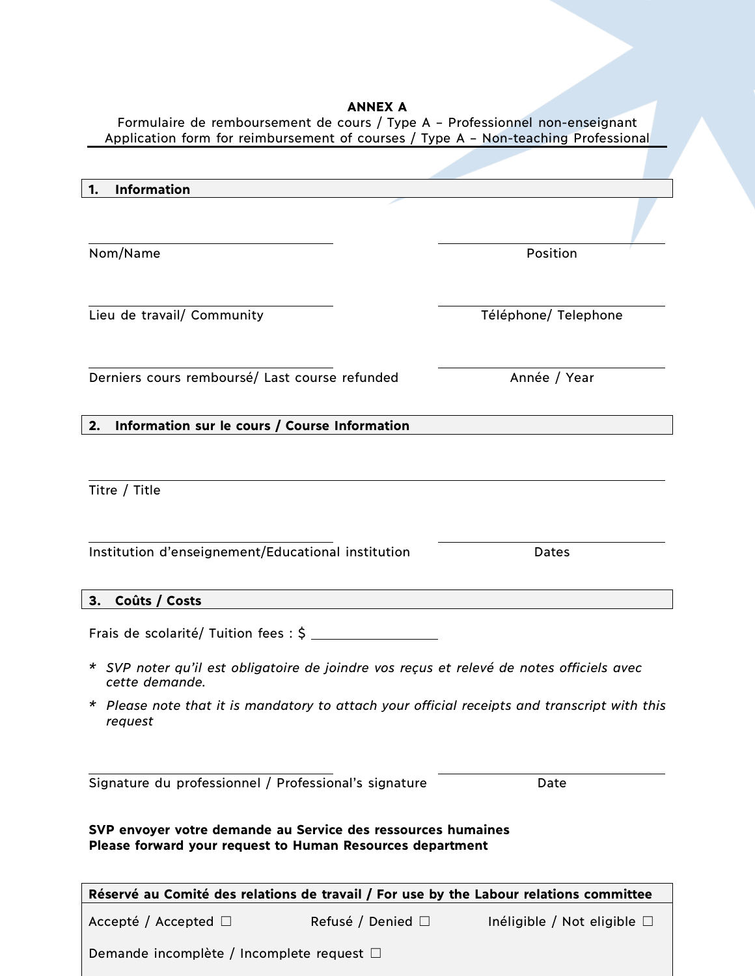#### **ANNEX A** Formulaire de remboursement de cours / Type A – Professionnel non-enseignant

| Application form for reimbursement of courses / Type A - Non-teaching Professional                                        |                           |                                  |  |
|---------------------------------------------------------------------------------------------------------------------------|---------------------------|----------------------------------|--|
| <b>Information</b><br>1.                                                                                                  |                           |                                  |  |
|                                                                                                                           |                           |                                  |  |
| Nom/Name                                                                                                                  |                           | Position                         |  |
| Lieu de travail/ Community                                                                                                |                           | Téléphone/ Telephone             |  |
| Derniers cours remboursé/ Last course refunded                                                                            |                           | Année / Year                     |  |
| 2.<br>Information sur le cours / Course Information                                                                       |                           |                                  |  |
| Titre / Title                                                                                                             |                           |                                  |  |
| Institution d'enseignement/Educational institution                                                                        |                           | Dates                            |  |
| 3.<br>Coûts / Costs                                                                                                       |                           |                                  |  |
|                                                                                                                           |                           |                                  |  |
| * SVP noter qu'il est obligatoire de joindre vos reçus et relevé de notes officiels avec<br>cette demande.                |                           |                                  |  |
| * Please note that it is mandatory to attach your official receipts and transcript with this<br>request                   |                           |                                  |  |
| Signature du professionnel / Professional's signature                                                                     |                           | Date                             |  |
| SVP envoyer votre demande au Service des ressources humaines<br>Please forward your request to Human Resources department |                           |                                  |  |
| Réservé au Comité des relations de travail / For use by the Labour relations committee                                    |                           |                                  |  |
| Accepté / Accepted $\Box$                                                                                                 | Refusé / Denied $\square$ | Inéligible / Not eligible $\Box$ |  |
| Demande incomplète / Incomplete request □                                                                                 |                           |                                  |  |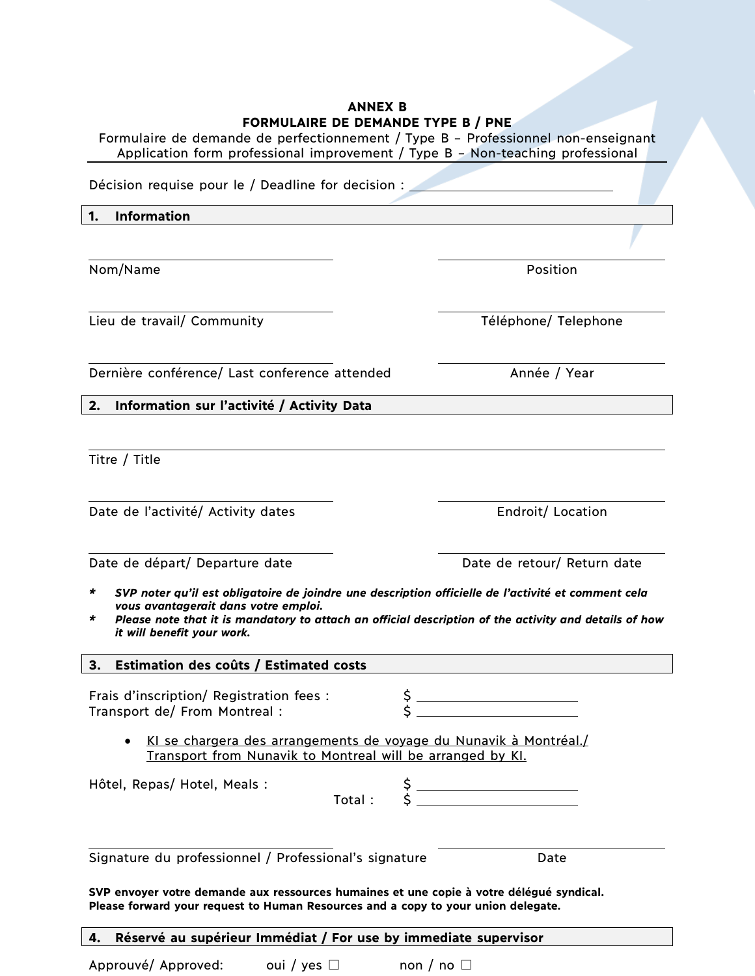| <b>ANNEX B</b><br>FORMULAIRE DE DEMANDE TYPE B / PNE<br>Formulaire de demande de perfectionnement / Type B - Professionnel non-enseignant<br>Application form professional improvement / Type B - Non-teaching professional                                                                  |                                                                                                                                                                                                                                                                                                                                                                                                                        |  |  |  |
|----------------------------------------------------------------------------------------------------------------------------------------------------------------------------------------------------------------------------------------------------------------------------------------------|------------------------------------------------------------------------------------------------------------------------------------------------------------------------------------------------------------------------------------------------------------------------------------------------------------------------------------------------------------------------------------------------------------------------|--|--|--|
| Décision requise pour le / Deadline for decision :                                                                                                                                                                                                                                           |                                                                                                                                                                                                                                                                                                                                                                                                                        |  |  |  |
| <b>Information</b><br>1.                                                                                                                                                                                                                                                                     |                                                                                                                                                                                                                                                                                                                                                                                                                        |  |  |  |
|                                                                                                                                                                                                                                                                                              |                                                                                                                                                                                                                                                                                                                                                                                                                        |  |  |  |
| Nom/Name                                                                                                                                                                                                                                                                                     | Position                                                                                                                                                                                                                                                                                                                                                                                                               |  |  |  |
| Lieu de travail/ Community                                                                                                                                                                                                                                                                   | Téléphone/ Telephone                                                                                                                                                                                                                                                                                                                                                                                                   |  |  |  |
| Dernière conférence/ Last conference attended                                                                                                                                                                                                                                                | Année / Year                                                                                                                                                                                                                                                                                                                                                                                                           |  |  |  |
| Information sur l'activité / Activity Data<br>2.                                                                                                                                                                                                                                             |                                                                                                                                                                                                                                                                                                                                                                                                                        |  |  |  |
|                                                                                                                                                                                                                                                                                              |                                                                                                                                                                                                                                                                                                                                                                                                                        |  |  |  |
| Titre / Title                                                                                                                                                                                                                                                                                |                                                                                                                                                                                                                                                                                                                                                                                                                        |  |  |  |
| Date de l'activité/ Activity dates                                                                                                                                                                                                                                                           | Endroit/ Location                                                                                                                                                                                                                                                                                                                                                                                                      |  |  |  |
| Date de départ/ Departure date                                                                                                                                                                                                                                                               | Date de retour/ Return date                                                                                                                                                                                                                                                                                                                                                                                            |  |  |  |
| SVP noter qu'il est obligatoire de joindre une description officielle de l'activité et comment cela<br>*<br>vous avantagerait dans votre emploi.<br>Please note that it is mandatory to attach an official description of the activity and details of how<br>*<br>it will benefit your work. |                                                                                                                                                                                                                                                                                                                                                                                                                        |  |  |  |
| Estimation des coûts / Estimated costs<br>3.                                                                                                                                                                                                                                                 |                                                                                                                                                                                                                                                                                                                                                                                                                        |  |  |  |
| Frais d'inscription/ Registration fees :<br>Transport de/ From Montreal :                                                                                                                                                                                                                    | $\frac{1}{s}$                                                                                                                                                                                                                                                                                                                                                                                                          |  |  |  |
| KI se chargera des arrangements de voyage du Nunavik à Montréal./<br>Transport from Nunavik to Montreal will be arranged by KI.                                                                                                                                                              |                                                                                                                                                                                                                                                                                                                                                                                                                        |  |  |  |
| Hôtel, Repas/ Hotel, Meals :                                                                                                                                                                                                                                                                 | $\uparrow$ $\uparrow$ $\uparrow$ $\uparrow$ $\uparrow$ $\uparrow$ $\uparrow$ $\uparrow$ $\uparrow$ $\uparrow$ $\uparrow$ $\uparrow$ $\uparrow$ $\uparrow$ $\uparrow$ $\uparrow$ $\uparrow$ $\uparrow$ $\uparrow$ $\uparrow$ $\uparrow$ $\uparrow$ $\uparrow$ $\uparrow$ $\uparrow$ $\uparrow$ $\uparrow$ $\uparrow$ $\uparrow$ $\uparrow$ $\uparrow$ $\uparrow$ $\uparrow$ $\uparrow$ $\uparrow$ $\uparrow$ $\uparrow$ |  |  |  |
| Signature du professionnel / Professional's signature                                                                                                                                                                                                                                        | Date                                                                                                                                                                                                                                                                                                                                                                                                                   |  |  |  |
| SVP envoyer votre demande aux ressources humaines et une copie à votre délégué syndical.<br>Please forward your request to Human Resources and a copy to your union delegate.                                                                                                                |                                                                                                                                                                                                                                                                                                                                                                                                                        |  |  |  |
| Réservé au supérieur Immédiat / For use by immediate supervisor<br>4.                                                                                                                                                                                                                        |                                                                                                                                                                                                                                                                                                                                                                                                                        |  |  |  |

Approuvé/ Approved: oui / yes □ non / no □